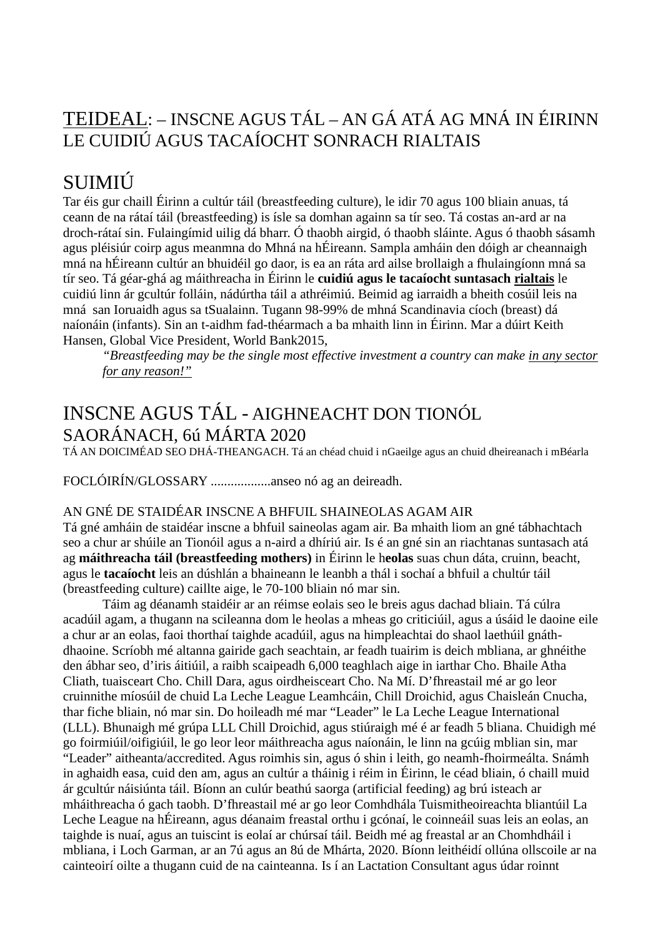## TEIDEAL: – INSCNE AGUS TÁL – AN GÁ ATÁ AG MNÁ IN ÉIRINN LE CUIDIÚ AGUS TACAÍOCHT SONRACH RIALTAIS

# SUIMIÚ

Tar éis gur chaill Éirinn a cultúr táil (breastfeeding culture), le idir 70 agus 100 bliain anuas, tá ceann de na rátaí táil (breastfeeding) is ísle sa domhan againn sa tír seo. Tá costas an-ard ar na droch-rátaí sin. Fulaingímid uilig dá bharr. Ó thaobh airgid, ó thaobh sláinte. Agus ó thaobh sásamh agus pléisiúr coirp agus meanmna do Mhná na hÉireann. Sampla amháin den dóigh ar cheannaigh mná na hÉireann cultúr an bhuidéil go daor, is ea an ráta ard ailse brollaigh a fhulaingíonn mná sa tír seo. Tá géar-ghá ag máithreacha in Éirinn le **cuidiú agus le tacaíocht suntasach rialtais** le cuidiú linn ár gcultúr folláin, nádúrtha táil a athréimiú. Beimid ag iarraidh a bheith cosúil leis na mná san Ioruaidh agus sa tSualainn. Tugann 98-99% de mhná Scandinavia cíoch (breast) dá naíonáin (infants). Sin an t-aidhm fad-théarmach a ba mhaith linn in Éirinn. Mar a dúirt Keith Hansen, Global Vice President, World Bank2015,

*"Breastfeeding may be the single most effective investment a country can make in any sector for any reason!"*

# INSCNE AGUS TÁL - AIGHNEACHT DON TIONÓL SAORÁNACH, 6ú MÁRTA 2020

TÁ AN DOICIMÉAD SEO DHÁ-THEANGACH. Tá an chéad chuid i nGaeilge agus an chuid dheireanach i mBéarla

FOCLÓIRÍN/GLOSSARY ..................anseo nó ag an deireadh.

#### AN GNÉ DE STAIDÉAR INSCNE A BHFUIL SHAINEOLAS AGAM AIR

Tá gné amháin de staidéar inscne a bhfuil saineolas agam air. Ba mhaith liom an gné tábhachtach seo a chur ar shúile an Tionóil agus a n-aird a dhíriú air. Is é an gné sin an riachtanas suntasach atá ag **máithreacha táil (breastfeeding mothers)** in Éirinn le h**eolas** suas chun dáta, cruinn, beacht, agus le **tacaíocht** leis an dúshlán a bhaineann le leanbh a thál i sochaí a bhfuil a chultúr táil (breastfeeding culture) caillte aige, le 70-100 bliain nó mar sin.

Táim ag déanamh staidéir ar an réimse eolais seo le breis agus dachad bliain. Tá cúlra acadúil agam, a thugann na scileanna dom le heolas a mheas go criticiúil, agus a úsáid le daoine eile a chur ar an eolas, faoi thorthaí taighde acadúil, agus na himpleachtai do shaol laethúil gnáthdhaoine. Scríobh mé altanna gairide gach seachtain, ar feadh tuairim is deich mbliana, ar ghnéithe den ábhar seo, d'iris áitiúil, a raibh scaipeadh 6,000 teaghlach aige in iarthar Cho. Bhaile Atha Cliath, tuaisceart Cho. Chill Dara, agus oirdheisceart Cho. Na Mí. D'fhreastail mé ar go leor cruinnithe míosúil de chuid La Leche League Leamhcáin, Chill Droichid, agus Chaisleán Cnucha, thar fiche bliain, nó mar sin. Do hoileadh mé mar "Leader" le La Leche League International (LLL). Bhunaigh mé grúpa LLL Chill Droichid, agus stiúraigh mé é ar feadh 5 bliana. Chuidigh mé go foirmiúil/oifigiúil, le go leor leor máithreacha agus naíonáin, le linn na gcúig mblian sin, mar "Leader" aitheanta/accredited. Agus roimhis sin, agus ó shin i leith, go neamh-fhoirmeálta. Snámh in aghaidh easa, cuid den am, agus an cultúr a tháinig i réim in Éirinn, le céad bliain, ó chaill muid ár gcultúr náisiúnta táil. Bíonn an culúr beathú saorga (artificial feeding) ag brú isteach ar mháithreacha ó gach taobh. D'fhreastail mé ar go leor Comhdhála Tuismitheoireachta bliantúil La Leche League na hÉireann, agus déanaim freastal orthu i gcónaí, le coinneáil suas leis an eolas, an taighde is nuaí, agus an tuiscint is eolaí ar chúrsaí táil. Beidh mé ag freastal ar an Chomhdháil i mbliana, i Loch Garman, ar an 7ú agus an 8ú de Mhárta, 2020. Bíonn leithéidí ollúna ollscoile ar na cainteoirí oilte a thugann cuid de na cainteanna. Is í an Lactation Consultant agus údar roinnt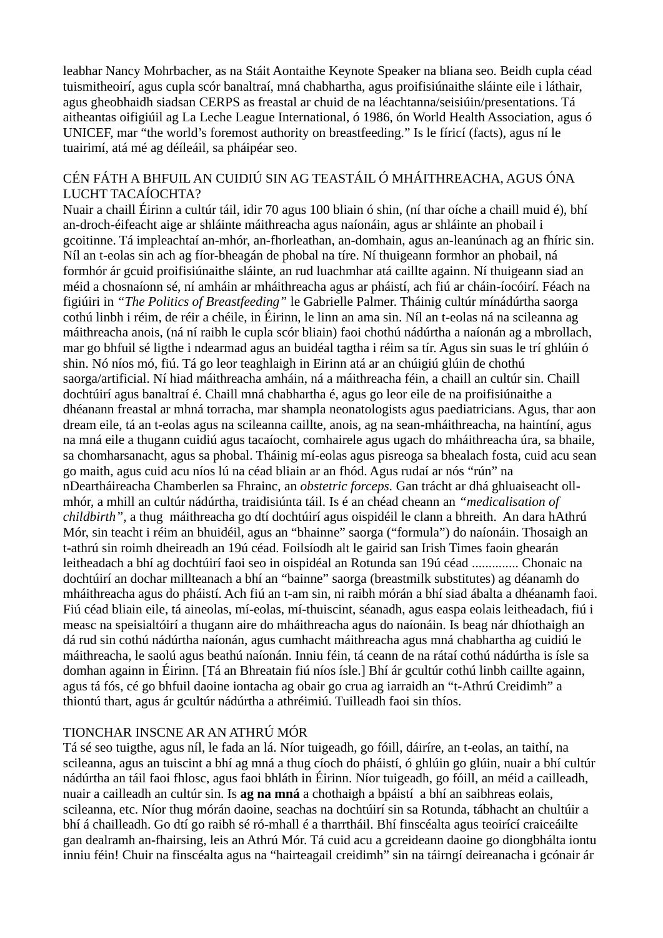leabhar Nancy Mohrbacher, as na Stáit Aontaithe Keynote Speaker na bliana seo. Beidh cupla céad tuismitheoirí, agus cupla scór banaltraí, mná chabhartha, agus proifisiúnaithe sláinte eile i láthair, agus gheobhaidh siadsan CERPS as freastal ar chuid de na léachtanna/seisiúin/presentations. Tá aitheantas oifigiúil ag La Leche League International, ó 1986, ón World Health Association, agus ó UNICEF, mar "the world's foremost authority on breastfeeding." Is le fíricí (facts), agus ní le tuairimí, atá mé ag déíleáil, sa pháipéar seo.

## CÉN FÁTH A BHFUIL AN CUIDIÚ SIN AG TEASTÁIL Ó MHÁITHREACHA, AGUS ÓNA LUCHT TACAÍOCHTA?

Nuair a chaill Éirinn a cultúr táil, idir 70 agus 100 bliain ó shin, (ní thar oíche a chaill muid é), bhí an-droch-éifeacht aige ar shláinte máithreacha agus naíonáin, agus ar shláinte an phobail i gcoitinne. Tá impleachtaí an-mhór, an-fhorleathan, an-domhain, agus an-leanúnach ag an fhíric sin. Níl an t-eolas sin ach ag fíor-bheagán de phobal na tíre. Ní thuigeann formhor an phobail, ná formhór ár gcuid proifisiúnaithe sláinte, an rud luachmhar atá caillte againn. Ní thuigeann siad an méid a chosnaíonn sé, ní amháin ar mháithreacha agus ar pháistí, ach fiú ar cháin-íocóirí. Féach na figiúiri in *"The Politics of Breastfeeding"* le Gabrielle Palmer. Tháinig cultúr mínádúrtha saorga cothú linbh i réim, de réir a chéile, in Éirinn, le linn an ama sin. Níl an t-eolas ná na scileanna ag máithreacha anois, (ná ní raibh le cupla scór bliain) faoi chothú nádúrtha a naíonán ag a mbrollach, mar go bhfuil sé ligthe i ndearmad agus an buidéal tagtha i réim sa tír. Agus sin suas le trí ghlúin ó shin. Nó níos mó, fiú. Tá go leor teaghlaigh in Eirinn atá ar an chúigiú glúin de chothú saorga/artificial. Ní hiad máithreacha amháin, ná a máithreacha féin, a chaill an cultúr sin. Chaill dochtúirí agus banaltraí é. Chaill mná chabhartha é, agus go leor eile de na proifisiúnaithe a dhéanann freastal ar mhná torracha, mar shampla neonatologists agus paediatricians. Agus, thar aon dream eile, tá an t-eolas agus na scileanna caillte, anois, ag na sean-mháithreacha, na haintíní, agus na mná eile a thugann cuidiú agus tacaíocht, comhairele agus ugach do mháithreacha úra, sa bhaile, sa chomharsanacht, agus sa phobal. Tháinig mí-eolas agus pisreoga sa bhealach fosta, cuid acu sean go maith, agus cuid acu níos lú na céad bliain ar an fhód. Agus rudaí ar nós "rún" na nDeartháireacha Chamberlen sa Fhrainc, an *obstetric forceps.* Gan trácht ar dhá ghluaiseacht ollmhór, a mhill an cultúr nádúrtha, traidisiúnta táil. Is é an chéad cheann an *"medicalisation of childbirth",* a thug máithreacha go dtí dochtúirí agus oispidéil le clann a bhreith. An dara hAthrú Mór, sin teacht i réim an bhuidéil, agus an "bhainne" saorga ("formula") do naíonáin. Thosaigh an t-athrú sin roimh dheireadh an 19ú céad. Foilsíodh alt le gairid san Irish Times faoin ghearán leitheadach a bhí ag dochtúirí faoi seo in oispidéal an Rotunda san 19ú céad .............. Chonaic na dochtúirí an dochar millteanach a bhí an "bainne" saorga (breastmilk substitutes) ag déanamh do mháithreacha agus do pháistí. Ach fiú an t-am sin, ni raibh mórán a bhí siad ábalta a dhéanamh faoi. Fiú céad bliain eile, tá aineolas, mí-eolas, mí-thuiscint, séanadh, agus easpa eolais leitheadach, fiú i measc na speisialtóirí a thugann aire do mháithreacha agus do naíonáin. Is beag nár dhíothaigh an dá rud sin cothú nádúrtha naíonán, agus cumhacht máithreacha agus mná chabhartha ag cuidiú le máithreacha, le saolú agus beathú naíonán. Inniu féin, tá ceann de na rátaí cothú nádúrtha is ísle sa domhan againn in Éirinn. [Tá an Bhreatain fiú níos ísle.] Bhí ár gcultúr cothú linbh caillte againn, agus tá fós, cé go bhfuil daoine iontacha ag obair go crua ag iarraidh an "t-Athrú Creidimh" a thiontú thart, agus ár gcultúr nádúrtha a athréimiú. Tuilleadh faoi sin thíos.

## TIONCHAR INSCNE AR AN ATHRÚ MÓR

Tá sé seo tuigthe, agus níl, le fada an lá. Níor tuigeadh, go fóill, dáiríre, an t-eolas, an taithí, na scileanna, agus an tuiscint a bhí ag mná a thug cíoch do pháistí, ó ghlúin go glúin, nuair a bhí cultúr nádúrtha an táil faoi fhlosc, agus faoi bhláth in Éirinn. Níor tuigeadh, go fóill, an méid a cailleadh, nuair a cailleadh an cultúr sin. Is **ag na mná** a chothaigh a bpáistí a bhí an saibhreas eolais, scileanna, etc. Níor thug mórán daoine, seachas na dochtúirí sin sa Rotunda, tábhacht an chultúir a bhí á chailleadh. Go dtí go raibh sé ró-mhall é a tharrtháil. Bhí finscéalta agus teoirící craiceáilte gan dealramh an-fhairsing, leis an Athrú Mór. Tá cuid acu a gcreideann daoine go diongbhálta iontu inniu féin! Chuir na finscéalta agus na "hairteagail creidimh" sin na táirngí deireanacha i gcónair ár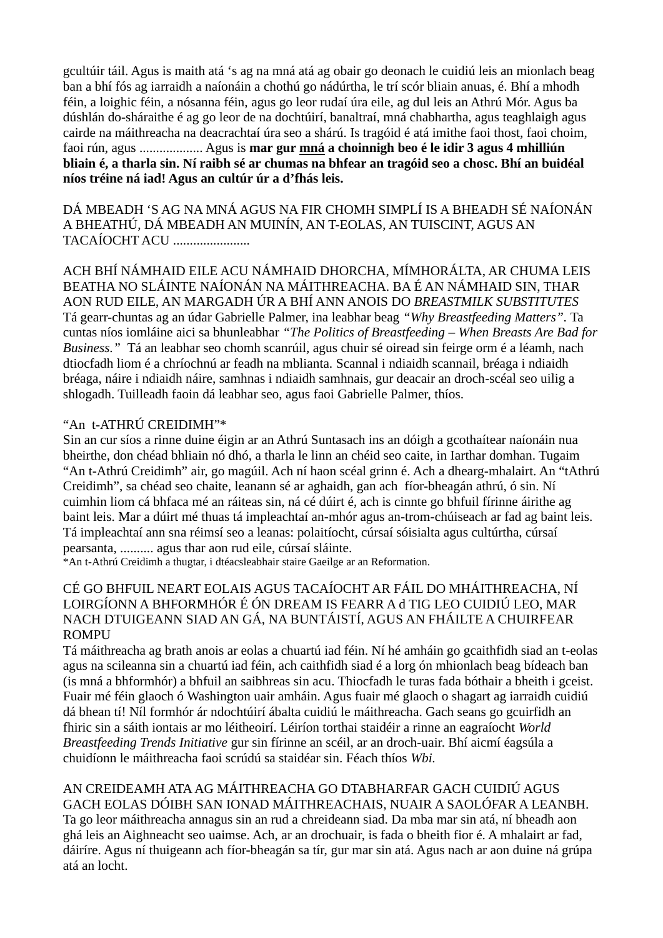gcultúir táil. Agus is maith atá 's ag na mná atá ag obair go deonach le cuidiú leis an mionlach beag ban a bhí fós ag iarraidh a naíonáin a chothú go nádúrtha, le trí scór bliain anuas, é. Bhí a mhodh féin, a loighic féin, a nósanna féin, agus go leor rudaí úra eile, ag dul leis an Athrú Mór. Agus ba dúshlán do-sháraithe é ag go leor de na dochtúirí, banaltraí, mná chabhartha, agus teaghlaigh agus cairde na máithreacha na deacrachtaí úra seo a shárú. Is tragóid é atá imithe faoi thost, faoi choim, faoi rún, agus ................... Agus is **mar gur mná a choinnigh beo é le idir 3 agus 4 mhilliún bliain é, a tharla sin. Ní raibh sé ar chumas na bhfear an tragóid seo a chosc. Bhí an buidéal níos tréine ná iad! Agus an cultúr úr a d'fhás leis.**

DÁ MBEADH 'S AG NA MNÁ AGUS NA FIR CHOMH SIMPLÍ IS A BHEADH SÉ NAÍONÁN A BHEATHÚ, DÁ MBEADH AN MUINÍN, AN T-EOLAS, AN TUISCINT, AGUS AN TACAÍOCHT ACU .......................

ACH BHÍ NÁMHAID EILE ACU NÁMHAID DHORCHA, MÍMHORÁLTA, AR CHUMA LEIS BEATHA NO SLÁINTE NAÍONÁN NA MÁITHREACHA. BA É AN NÁMHAID SIN, THAR AON RUD EILE, AN MARGADH ÚR A BHÍ ANN ANOIS DO *BREASTMILK SUBSTITUTES* Tá gearr-chuntas ag an údar Gabrielle Palmer, ina leabhar beag *"Why Breastfeeding Matters".* Ta cuntas níos iomláine aici sa bhunleabhar *"The Politics of Breastfeeding – When Breasts Are Bad for Business."* Tá an leabhar seo chomh scanrúil, agus chuir sé oiread sin feirge orm é a léamh, nach dtiocfadh liom é a chríochnú ar feadh na mblianta. Scannal i ndiaidh scannail, bréaga i ndiaidh bréaga, náire i ndiaidh náire, samhnas i ndiaidh samhnais, gur deacair an droch-scéal seo uilig a shlogadh. Tuilleadh faoin dá leabhar seo, agus faoi Gabrielle Palmer, thíos.

### "An t-ATHRÚ CREIDIMH"\*

Sin an cur síos a rinne duine éigin ar an Athrú Suntasach ins an dóigh a gcothaítear naíonáin nua bheirthe, don chéad bhliain nó dhó, a tharla le linn an chéid seo caite, in Iarthar domhan. Tugaim "An t-Athrú Creidimh" air, go magúil. Ach ní haon scéal grinn é. Ach a dhearg-mhalairt. An "tAthrú Creidimh", sa chéad seo chaite, leanann sé ar aghaidh, gan ach fíor-bheagán athrú, ó sin. Ní cuimhin liom cá bhfaca mé an ráiteas sin, ná cé dúirt é, ach is cinnte go bhfuil fírinne áirithe ag baint leis. Mar a dúirt mé thuas tá impleachtaí an-mhór agus an-trom-chúiseach ar fad ag baint leis. Tá impleachtaí ann sna réimsí seo a leanas: polaitíocht, cúrsaí sóisialta agus cultúrtha, cúrsaí pearsanta, .......... agus thar aon rud eile, cúrsaí sláinte.

\*An t-Athrú Creidimh a thugtar, i dtéacsleabhair staire Gaeilge ar an Reformation.

#### CÉ GO BHFUIL NEART EOLAIS AGUS TACAÍOCHT AR FÁIL DO MHÁITHREACHA, NÍ LOIRGÍONN A BHFORMHÓR É ÓN DREAM IS FEARR A d TIG LEO CUIDIÚ LEO, MAR NACH DTUIGEANN SIAD AN GÁ, NA BUNTÁISTÍ, AGUS AN FHÁILTE A CHUIRFEAR **ROMPU**

Tá máithreacha ag brath anois ar eolas a chuartú iad féin. Ní hé amháin go gcaithfidh siad an t-eolas agus na scileanna sin a chuartú iad féin, ach caithfidh siad é a lorg ón mhionlach beag bídeach ban (is mná a bhformhór) a bhfuil an saibhreas sin acu. Thiocfadh le turas fada bóthair a bheith i gceist. Fuair mé féin glaoch ó Washington uair amháin. Agus fuair mé glaoch o shagart ag iarraidh cuidiú dá bhean tí! Níl formhór ár ndochtúirí ábalta cuidiú le máithreacha. Gach seans go gcuirfidh an fhiric sin a sáith iontais ar mo léitheoirí. Léiríon torthai staidéir a rinne an eagraíocht *World Breastfeeding Trends Initiative* gur sin fírinne an scéil, ar an droch-uair. Bhí aicmí éagsúla a chuidíonn le máithreacha faoi scrúdú sa staidéar sin. Féach thíos *Wbi.*

AN CREIDEAMH ATA AG MÁITHREACHA GO DTABHARFAR GACH CUIDIÚ AGUS GACH EOLAS DÓIBH SAN IONAD MÁITHREACHAIS, NUAIR A SAOLÓFAR A LEANBH. Ta go leor máithreacha annagus sin an rud a chreideann siad. Da mba mar sin atá, ní bheadh aon ghá leis an Aighneacht seo uaimse. Ach, ar an drochuair, is fada o bheith fior é. A mhalairt ar fad, dáiríre. Agus ní thuigeann ach fíor-bheagán sa tír, gur mar sin atá. Agus nach ar aon duine ná grúpa atá an locht.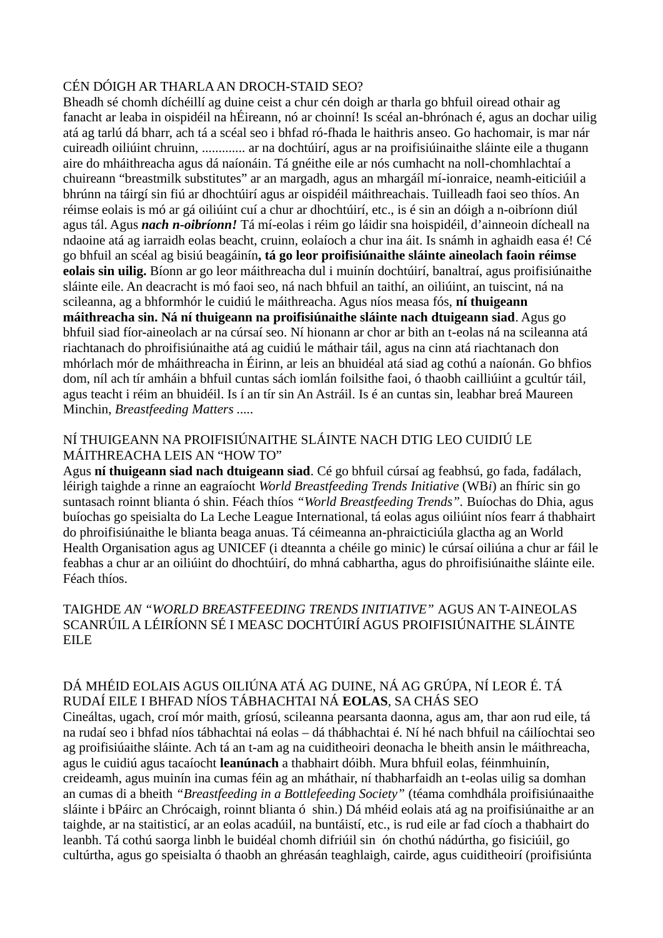#### CÉN DÓIGH AR THARLA AN DROCH-STAID SEO?

Bheadh sé chomh díchéillí ag duine ceist a chur cén doigh ar tharla go bhfuil oiread othair ag fanacht ar leaba in oispidéil na hÉireann, nó ar choinní! Is scéal an-bhrónach é, agus an dochar uilig atá ag tarlú dá bharr, ach tá a scéal seo i bhfad ró-fhada le haithris anseo. Go hachomair, is mar nár cuireadh oiliúint chruinn, ............. ar na dochtúirí, agus ar na proifisiúinaithe sláinte eile a thugann aire do mháithreacha agus dá naíonáin. Tá gnéithe eile ar nós cumhacht na noll-chomhlachtaí a chuireann "breastmilk substitutes" ar an margadh, agus an mhargáíl mí-ionraice, neamh-eiticiúil a bhrúnn na táirgí sin fiú ar dhochtúirí agus ar oispidéil máithreachais. Tuilleadh faoi seo thíos. An réimse eolais is mó ar gá oiliúint cuí a chur ar dhochtúirí, etc., is é sin an dóigh a n-oibríonn diúl agus tál. Agus *nach n-oibríonn!* Tá mí-eolas i réim go láidir sna hoispidéil, d'ainneoin dícheall na ndaoine atá ag iarraidh eolas beacht, cruinn, eolaíoch a chur ina áit. Is snámh in aghaidh easa é! Cé go bhfuil an scéal ag bisiú beagáinín**, tá go leor proifisiúnaithe sláinte aineolach faoin réimse eolais sin uilig.** Bíonn ar go leor máithreacha dul i muinín dochtúirí, banaltraí, agus proifisiúnaithe sláinte eile. An deacracht is mó faoi seo, ná nach bhfuil an taithí, an oiliúint, an tuiscint, ná na scileanna, ag a bhformhór le cuidiú le máithreacha. Agus níos measa fós, **ní thuigeann máithreacha sin. Ná ní thuigeann na proifisiúnaithe sláinte nach dtuigeann siad**. Agus go bhfuil siad fíor-aineolach ar na cúrsaí seo. Ní hionann ar chor ar bith an t-eolas ná na scileanna atá riachtanach do phroifisiúnaithe atá ag cuidiú le máthair táil, agus na cinn atá riachtanach don mhórlach mór de mháithreacha in Éirinn, ar leis an bhuidéal atá siad ag cothú a naíonán. Go bhfios dom, níl ach tír amháin a bhfuil cuntas sách iomlán foilsithe faoi, ó thaobh cailliúint a gcultúr táil, agus teacht i réim an bhuidéil. Is í an tír sin An Astráil. Is é an cuntas sin, leabhar breá Maureen Minchin, *Breastfeeding Matters .....*

## NÍ THUIGEANN NA PROIFISIÚNAITHE SLÁINTE NACH DTIG LEO CUIDIÚ LE MÁITHREACHA LEIS AN "HOW TO"

Agus **ní thuigeann siad nach dtuigeann siad**. Cé go bhfuil cúrsaí ag feabhsú, go fada, fadálach, léirigh taighde a rinne an eagraíocht *World Breastfeeding Trends Initiative* (WB*i*) an fhíric sin go suntasach roinnt blianta ó shin. Féach thíos *"World Breastfeeding Trends".* Buíochas do Dhia, agus buíochas go speisialta do La Leche League International, tá eolas agus oiliúint níos fearr á thabhairt do phroifisiúnaithe le blianta beaga anuas. Tá céimeanna an-phraicticiúla glactha ag an World Health Organisation agus ag UNICEF (i dteannta a chéile go minic) le cúrsaí oiliúna a chur ar fáil le feabhas a chur ar an oiliúint do dhochtúirí, do mhná cabhartha, agus do phroifisiúnaithe sláinte eile. Féach thíos.

#### TAIGHDE *AN "WORLD BREASTFEEDING TRENDS INITIATIVE"* AGUS AN T-AINEOLAS SCANRÚIL A LÉIRÍONN SÉ I MEASC DOCHTÚIRÍ AGUS PROIFISIÚNAITHE SLÁINTE EILE

### DÁ MHÉID EOLAIS AGUS OILIÚNA ATÁ AG DUINE, NÁ AG GRÚPA, NÍ LEOR É. TÁ RUDAÍ EILE I BHFAD NÍOS TÁBHACHTAI NÁ **EOLAS**, SA CHÁS SEO

Cineáltas, ugach, croí mór maith, gríosú, scileanna pearsanta daonna, agus am, thar aon rud eile, tá na rudaí seo i bhfad níos tábhachtai ná eolas – dá thábhachtai é. Ní hé nach bhfuil na cáilíochtai seo ag proifisiúaithe sláinte. Ach tá an t-am ag na cuiditheoiri deonacha le bheith ansin le máithreacha, agus le cuidiú agus tacaíocht **leanúnach** a thabhairt dóibh. Mura bhfuil eolas, féinmhuinín, creideamh, agus muinín ina cumas féin ag an mháthair, ní thabharfaidh an t-eolas uilig sa domhan an cumas di a bheith *"Breastfeeding in a Bottlefeeding Society"* (téama comhdhála proifisiúnaaithe sláinte i bPáirc an Chrócaigh, roinnt blianta ó shin.) Dá mhéid eolais atá ag na proifisiúnaithe ar an taighde, ar na staitisticí, ar an eolas acadúil, na buntáistí, etc., is rud eile ar fad cíoch a thabhairt do leanbh. Tá cothú saorga linbh le buidéal chomh difriúil sin ón chothú nádúrtha, go fisiciúil, go cultúrtha, agus go speisialta ó thaobh an ghréasán teaghlaigh, cairde, agus cuiditheoirí (proifisiúnta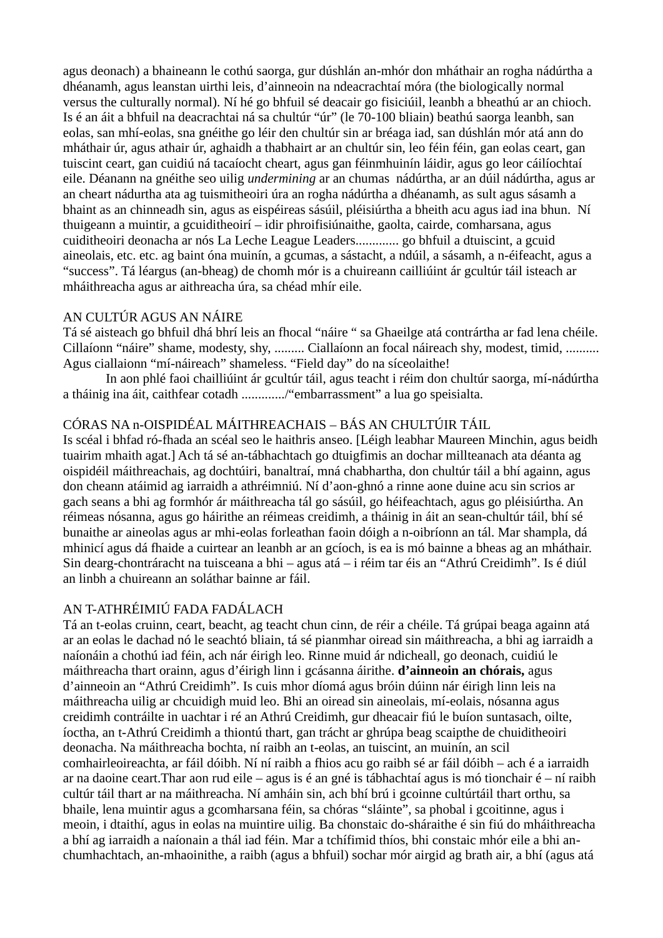agus deonach) a bhaineann le cothú saorga, gur dúshlán an-mhór don mháthair an rogha nádúrtha a dhéanamh, agus leanstan uirthi leis, d'ainneoin na ndeacrachtaí móra (the biologically normal versus the culturally normal). Ní hé go bhfuil sé deacair go fisiciúil, leanbh a bheathú ar an chioch. Is é an áit a bhfuil na deacrachtai ná sa chultúr "úr" (le 70-100 bliain) beathú saorga leanbh, san eolas, san mhí-eolas, sna gnéithe go léir den chultúr sin ar bréaga iad, san dúshlán mór atá ann do mháthair úr, agus athair úr, aghaidh a thabhairt ar an chultúr sin, leo féin féin, gan eolas ceart, gan tuiscint ceart, gan cuidiú ná tacaíocht cheart, agus gan féinmhuinín láidir, agus go leor cáilíochtaí eile. Déanann na gnéithe seo uilig *undermining* ar an chumas nádúrtha, ar an dúil nádúrtha, agus ar an cheart nádurtha ata ag tuismitheoiri úra an rogha nádúrtha a dhéanamh, as sult agus sásamh a bhaint as an chinneadh sin, agus as eispéireas sásúil, pléisiúrtha a bheith acu agus iad ina bhun. Ní thuigeann a muintir, a gcuiditheoirí – idir phroifisiúnaithe, gaolta, cairde, comharsana, agus cuiditheoiri deonacha ar nós La Leche League Leaders............. go bhfuil a dtuiscint, a gcuid aineolais, etc. etc. ag baint óna muinín, a gcumas, a sástacht, a ndúil, a sásamh, a n-éifeacht, agus a "success". Tá léargus (an-bheag) de chomh mór is a chuireann cailliúint ár gcultúr táil isteach ar mháithreacha agus ar aithreacha úra, sa chéad mhír eile.

#### AN CULTÚR AGUS AN NÁIRE

Tá sé aisteach go bhfuil dhá bhrí leis an fhocal "náire " sa Ghaeilge atá contrártha ar fad lena chéile. Cillaíonn "náire" shame, modesty, shy, ......... Ciallaíonn an focal náireach shy, modest, timid, .......... Agus ciallaionn "mí-náireach" shameless. "Field day" do na síceolaithe!

In aon phlé faoi chailliúint ár gcultúr táil, agus teacht i réim don chultúr saorga, mí-nádúrtha a tháinig ina áit, caithfear cotadh ............./"embarrassment" a lua go speisialta.

#### CÓRAS NA n-OISPIDÉAL MÁITHREACHAIS – BÁS AN CHULTÚIR TÁIL

Is scéal i bhfad ró-fhada an scéal seo le haithris anseo. [Léigh leabhar Maureen Minchin, agus beidh tuairim mhaith agat.] Ach tá sé an-tábhachtach go dtuigfimis an dochar millteanach ata déanta ag oispidéil máithreachais, ag dochtúiri, banaltraí, mná chabhartha, don chultúr táil a bhí againn, agus don cheann atáimid ag iarraidh a athréimniú. Ní d'aon-ghnó a rinne aone duine acu sin scrios ar gach seans a bhi ag formhór ár máithreacha tál go sásúil, go héifeachtach, agus go pléisiúrtha. An réimeas nósanna, agus go háirithe an réimeas creidimh, a tháinig in áit an sean-chultúr táil, bhí sé bunaithe ar aineolas agus ar mhi-eolas forleathan faoin dóigh a n-oibríonn an tál. Mar shampla, dá mhinicí agus dá fhaide a cuirtear an leanbh ar an gcíoch, is ea is mó bainne a bheas ag an mháthair. Sin dearg-chontráracht na tuisceana a bhi – agus atá – i réim tar éis an "Athrú Creidimh". Is é diúl an linbh a chuireann an soláthar bainne ar fáil.

#### AN T-ATHRÉIMIÚ FADA FADÁLACH

Tá an t-eolas cruinn, ceart, beacht, ag teacht chun cinn, de réir a chéile. Tá grúpai beaga againn atá ar an eolas le dachad nó le seachtó bliain, tá sé pianmhar oiread sin máithreacha, a bhi ag iarraidh a naíonáin a chothú iad féin, ach nár éirigh leo. Rinne muid ár ndicheall, go deonach, cuidiú le máithreacha thart orainn, agus d'éirigh linn i gcásanna áirithe. **d'ainneoin an chórais,** agus d'ainneoin an "Athrú Creidimh". Is cuis mhor díomá agus bróin dúinn nár éirigh linn leis na máithreacha uilig ar chcuidigh muid leo. Bhi an oiread sin aineolais, mí-eolais, nósanna agus creidimh contráilte in uachtar i ré an Athrú Creidimh, gur dheacair fiú le buíon suntasach, oilte, íoctha, an t-Athrú Creidimh a thiontú thart, gan trácht ar ghrúpa beag scaipthe de chuiditheoiri deonacha. Na máithreacha bochta, ní raibh an t-eolas, an tuiscint, an muinín, an scil comhairleoireachta, ar fáil dóibh. Ní ní raibh a fhios acu go raibh sé ar fáil dóibh – ach é a iarraidh ar na daoine ceart.Thar aon rud eile – agus is é an gné is tábhachtaí agus is mó tionchair é – ní raibh cultúr táil thart ar na máithreacha. Ní amháin sin, ach bhí brú i gcoinne cultúrtáil thart orthu, sa bhaile, lena muintir agus a gcomharsana féin, sa chóras "sláinte", sa phobal i gcoitinne, agus i meoin, i dtaithí, agus in eolas na muintire uilig. Ba chonstaic do-sháraithe é sin fiú do mháithreacha a bhí ag iarraidh a naíonain a thál iad féin. Mar a tchífimid thíos, bhi constaic mhór eile a bhi anchumhachtach, an-mhaoinithe, a raibh (agus a bhfuil) sochar mór airgid ag brath air, a bhí (agus atá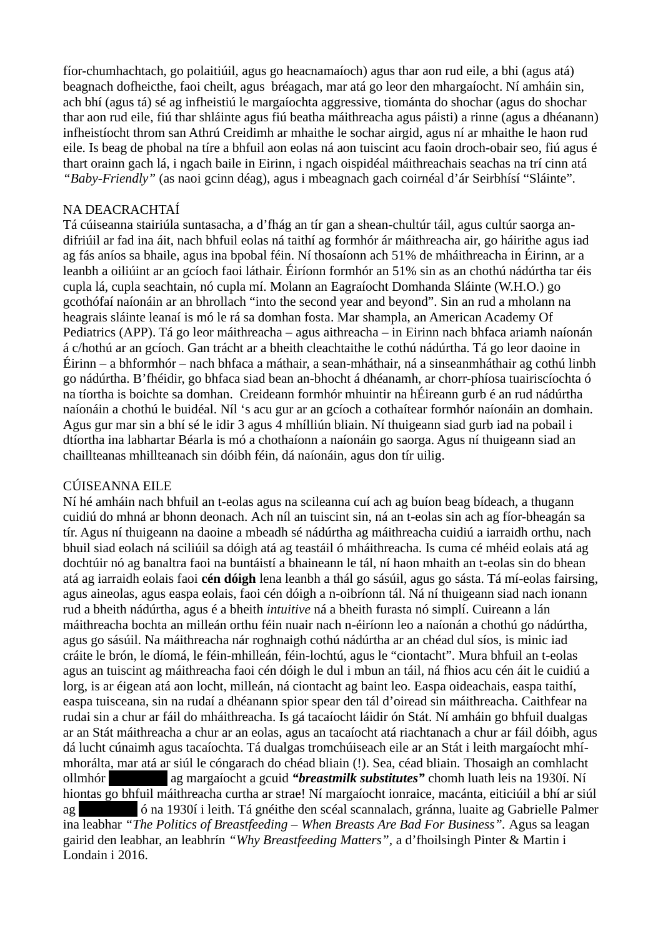fíor-chumhachtach, go polaitiúil, agus go heacnamaíoch) agus thar aon rud eile, a bhi (agus atá) beagnach dofheicthe, faoi cheilt, agus bréagach, mar atá go leor den mhargaíocht. Ní amháin sin, ach bhí (agus tá) sé ag infheistiú le margaíochta aggressive, tiománta do shochar (agus do shochar thar aon rud eile, fiú thar shláinte agus fiú beatha máithreacha agus páisti) a rinne (agus a dhéanann) infheistíocht throm san Athrú Creidimh ar mhaithe le sochar airgid, agus ní ar mhaithe le haon rud eile. Is beag de phobal na tíre a bhfuil aon eolas ná aon tuiscint acu faoin droch-obair seo, fiú agus é thart orainn gach lá, i ngach baile in Eirinn, i ngach oispidéal máithreachais seachas na trí cinn atá *"Baby-Friendly"* (as naoi gcinn déag), agus i mbeagnach gach coirnéal d'ár Seirbhísí "Sláinte".

#### NA DEACRACHTAÍ

Tá cúiseanna stairiúla suntasacha, a d'fhág an tír gan a shean-chultúr táil, agus cultúr saorga andifriúil ar fad ina áit, nach bhfuil eolas ná taithí ag formhór ár máithreacha air, go háirithe agus iad ag fás aníos sa bhaile, agus ina bpobal féin. Ní thosaíonn ach 51% de mháithreacha in Éirinn, ar a leanbh a oiliúint ar an gcíoch faoi láthair. Éiríonn formhór an 51% sin as an chothú nádúrtha tar éis cupla lá, cupla seachtain, nó cupla mí. Molann an Eagraíocht Domhanda Sláinte (W.H.O.) go gcothófaí naíonáin ar an bhrollach "into the second year and beyond". Sin an rud a mholann na heagrais sláinte leanaí is mó le rá sa domhan fosta. Mar shampla, an American Academy Of Pediatrics (APP). Tá go leor máithreacha – agus aithreacha – in Eirinn nach bhfaca ariamh naíonán á c/hothú ar an gcíoch. Gan trácht ar a bheith cleachtaithe le cothú nádúrtha. Tá go leor daoine in Éirinn – a bhformhór – nach bhfaca a máthair, a sean-mháthair, ná a sinseanmháthair ag cothú linbh go nádúrtha. B'fhéidir, go bhfaca siad bean an-bhocht á dhéanamh, ar chorr-phíosa tuairiscíochta ó na tíortha is boichte sa domhan. Creideann formhór mhuintir na hÉireann gurb é an rud nádúrtha naíonáin a chothú le buidéal. Níl 's acu gur ar an gcíoch a cothaítear formhór naíonáin an domhain. Agus gur mar sin a bhí sé le idir 3 agus 4 mhílliún bliain. Ní thuigeann siad gurb iad na pobail i dtíortha ina labhartar Béarla is mó a chothaíonn a naíonáin go saorga. Agus ní thuigeann siad an chaillteanas mhillteanach sin dóibh féin, dá naíonáin, agus don tír uilig.

#### CÚISEANNA EILE

Ní hé amháin nach bhfuil an t-eolas agus na scileanna cuí ach ag buíon beag bídeach, a thugann cuidiú do mhná ar bhonn deonach. Ach níl an tuiscint sin, ná an t-eolas sin ach ag fíor-bheagán sa tír. Agus ní thuigeann na daoine a mbeadh sé nádúrtha ag máithreacha cuidiú a iarraidh orthu, nach bhuil siad eolach ná sciliúil sa dóigh atá ag teastáil ó mháithreacha. Is cuma cé mhéid eolais atá ag dochtúir nó ag banaltra faoi na buntáistí a bhaineann le tál, ní haon mhaith an t-eolas sin do bhean atá ag iarraidh eolais faoi **cén dóigh** lena leanbh a thál go sásúil, agus go sásta. Tá mí-eolas fairsing, agus aineolas, agus easpa eolais, faoi cén dóigh a n-oibríonn tál. Ná ní thuigeann siad nach ionann rud a bheith nádúrtha, agus é a bheith *intuitive* ná a bheith furasta nó simplí. Cuireann a lán máithreacha bochta an milleán orthu féin nuair nach n-éiríonn leo a naíonán a chothú go nádúrtha, agus go sásúil. Na máithreacha nár roghnaigh cothú nádúrtha ar an chéad dul síos, is minic iad cráite le brón, le díomá, le féin-mhilleán, féin-lochtú, agus le "ciontacht". Mura bhfuil an t-eolas agus an tuiscint ag máithreacha faoi cén dóigh le dul i mbun an táil, ná fhios acu cén áit le cuidiú a lorg, is ar éigean atá aon locht, milleán, ná ciontacht ag baint leo. Easpa oideachais, easpa taithí, easpa tuisceana, sin na rudaí a dhéanann spior spear den tál d'oiread sin máithreacha. Caithfear na rudai sin a chur ar fáil do mháithreacha. Is gá tacaíocht láidir ón Stát. Ní amháin go bhfuil dualgas ar an Stát máithreacha a chur ar an eolas, agus an tacaíocht atá riachtanach a chur ar fáil dóibh, agus dá lucht cúnaimh agus tacaíochta. Tá dualgas tromchúiseach eile ar an Stát i leith margaíocht mhímhorálta, mar atá ar siúl le cóngarach do chéad bliain (!). Sea, céad bliain. Thosaigh an comhlacht ollmhór [Redacted] ag margaíocht a gcuid *"breastmilk substitutes"* chomh luath leis na 1930í. Ní hiontas go bhfuil máithreacha curtha ar strae! Ní margaíocht ionraice, macánta, eiticiúil a bhí ar siúl ag [Redacted] ó na 1930í i leith. Tá gnéithe den scéal scannalach, gránna, luaite ag Gabrielle Palmer ina leabhar *"The Politics of Breastfeeding – When Breasts Are Bad For Business".* Agus sa leagan gairid den leabhar, an leabhrín *"Why Breastfeeding Matters",* a d'fhoilsingh Pinter & Martin i Londain i 2016.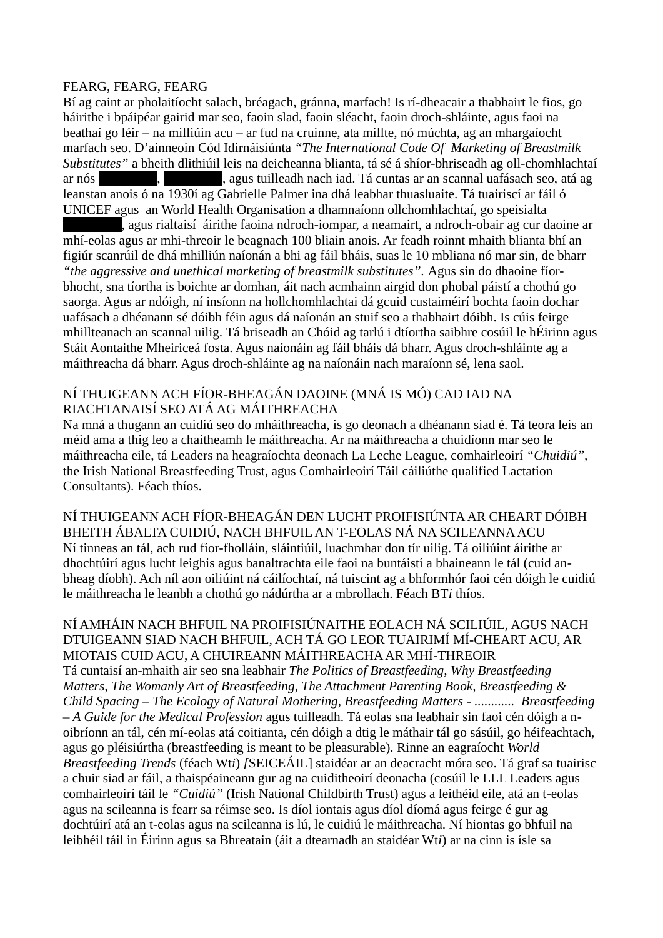#### FEARG, FEARG, FEARG

Bí ag caint ar pholaitíocht salach, bréagach, gránna, marfach! Is rí-dheacair a thabhairt le fios, go háirithe i bpáipéar gairid mar seo, faoin slad, faoin sléacht, faoin droch-shláinte, agus faoi na beathaí go léir – na milliúin acu – ar fud na cruinne, ata millte, nó múchta, ag an mhargaíocht marfach seo. D'ainneoin Cód Idirnáisiúnta *"The International Code Of Marketing of Breastmilk Substitutes"* a bheith dlithiúil leis na deicheanna blianta, tá sé á shíor-bhriseadh ag oll-chomhlachtaí ar nós **[Redacted]**, agus tuilleadh nach iad. Tá cuntas ar an scannal uafásach seo, atá ag leanstan anois ó na 1930í ag Gabrielle Palmer ina dhá leabhar thuasluaite. Tá tuairiscí ar fáil ó UNICEF agus an World Health Organisation a dhamnaíonn ollchomhlachtaí, go speisialta , agus rialtaisí áirithe faoina ndroch-iompar, a neamairt, a ndroch-obair ag cur daoine ar mhí-eolas agus ar mhi-threoir le beagnach 100 bliain anois. Ar feadh roinnt mhaith blianta bhí an figiúr scanrúil de dhá mhilliún naíonán a bhi ag fáil bháis, suas le 10 mbliana nó mar sin, de bharr *"the aggressive and unethical marketing of breastmilk substitutes".* Agus sin do dhaoine fíorbhocht, sna tíortha is boichte ar domhan, áit nach acmhainn airgid don phobal páistí a chothú go saorga. Agus ar ndóigh, ní insíonn na hollchomhlachtai dá gcuid custaiméirí bochta faoin dochar uafásach a dhéanann sé dóibh féin agus dá naíonán an stuif seo a thabhairt dóibh. Is cúis feirge mhillteanach an scannal uilig. Tá briseadh an Chóid ag tarlú i dtíortha saibhre cosúil le hÉirinn agus Stáit Aontaithe Mheiriceá fosta. Agus naíonáin ag fáil bháis dá bharr. Agus droch-shláinte ag a máithreacha dá bharr. Agus droch-shláinte ag na naíonáin nach maraíonn sé, lena saol.

#### NÍ THUIGEANN ACH FÍOR-BHEAGÁN DAOINE (MNÁ IS MÓ) CAD IAD NA RIACHTANAISÍ SEO ATÁ AG MÁITHREACHA

Na mná a thugann an cuidiú seo do mháithreacha, is go deonach a dhéanann siad é. Tá teora leis an méid ama a thig leo a chaitheamh le máithreacha. Ar na máithreacha a chuidíonn mar seo le máithreacha eile, tá Leaders na heagraíochta deonach La Leche League, comhairleoirí *"Chuidiú",*  the Irish National Breastfeeding Trust, agus Comhairleoirí Táil cáiliúthe qualified Lactation Consultants). Féach thíos.

NÍ THUIGEANN ACH FÍOR-BHEAGÁN DEN LUCHT PROIFISIÚNTA AR CHEART DÓIBH BHEITH ÁBALTA CUIDIÚ, NACH BHFUIL AN T-EOLAS NÁ NA SCILEANNA ACU Ní tinneas an tál, ach rud fíor-fholláin, sláintiúil, luachmhar don tír uilig. Tá oiliúint áirithe ar dhochtúirí agus lucht leighis agus banaltrachta eile faoi na buntáistí a bhaineann le tál (cuid anbheag díobh). Ach níl aon oiliúint ná cáilíochtaí, ná tuiscint ag a bhformhór faoi cén dóigh le cuidiú le máithreacha le leanbh a chothú go nádúrtha ar a mbrollach. Féach BT*i* thíos.

#### NÍ AMHÁIN NACH BHFUIL NA PROIFISIÚNAITHE EOLACH NÁ SCILIÚIL, AGUS NACH DTUIGEANN SIAD NACH BHFUIL, ACH TÁ GO LEOR TUAIRIMÍ MÍ-CHEART ACU, AR MIOTAIS CUID ACU, A CHUIREANN MÁITHREACHA AR MHÍ-THREOIR Tá cuntaisí an-mhaith air seo sna leabhair *The Politics of Breastfeeding, Why Breastfeeding Matters, The Womanly Art of Breastfeeding, The Attachment Parenting Book, Breastfeeding & Child Spacing – The Ecology of Natural Mothering, Breastfeeding Matters - ............ Breastfeeding – A Guide for the Medical Profession* agus tuilleadh. Tá eolas sna leabhair sin faoi cén dóigh a noibríonn an tál, cén mí-eolas atá coitianta, cén dóigh a dtig le máthair tál go sásúil, go héifeachtach, agus go pléisiúrtha (breastfeeding is meant to be pleasurable). Rinne an eagraíocht *World Breastfeeding Trends* (féach Wt*i*) *[*SEICEÁIL] staidéar ar an deacracht móra seo. Tá graf sa tuairisc a chuir siad ar fáil, a thaispéaineann gur ag na cuiditheoirí deonacha (cosúil le LLL Leaders agus comhairleoirí táil le *"Cuidiú"* (Irish National Childbirth Trust) agus a leithéid eile, atá an t-eolas agus na scileanna is fearr sa réimse seo. Is díol iontais agus díol díomá agus feirge é gur ag dochtúirí atá an t-eolas agus na scileanna is lú, le cuidiú le máithreacha. Ní hiontas go bhfuil na leibhéil táil in Éirinn agus sa Bhreatain (áit a dtearnadh an staidéar Wt*i*) ar na cinn is ísle sa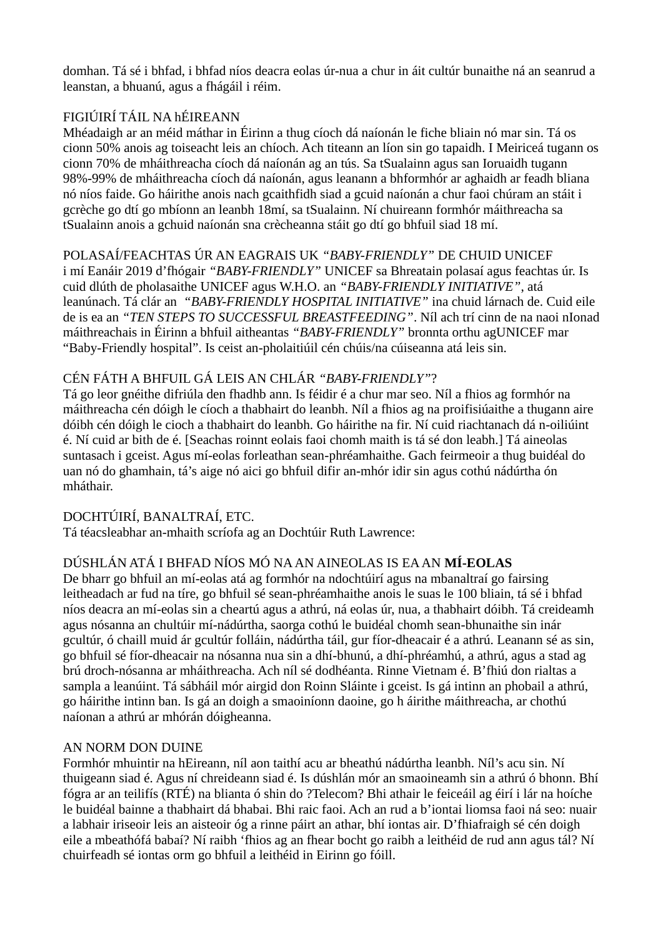domhan. Tá sé i bhfad, i bhfad níos deacra eolas úr-nua a chur in áit cultúr bunaithe ná an seanrud a leanstan, a bhuanú, agus a fhágáil i réim.

## FIGIÚIRÍ TÁIL NA hÉIREANN

Mhéadaigh ar an méid máthar in Éirinn a thug cíoch dá naíonán le fiche bliain nó mar sin. Tá os cionn 50% anois ag toiseacht leis an chíoch. Ach titeann an líon sin go tapaidh. I Meiriceá tugann os cionn 70% de mháithreacha cíoch dá naíonán ag an tús. Sa tSualainn agus san Ioruaidh tugann 98%-99% de mháithreacha cíoch dá naíonán, agus leanann a bhformhór ar aghaidh ar feadh bliana nó níos faide. Go háirithe anois nach gcaithfidh siad a gcuid naíonán a chur faoi chúram an stáit i gcrèche go dtí go mbíonn an leanbh 18mí, sa tSualainn. Ní chuireann formhór máithreacha sa tSualainn anois a gchuid naíonán sna crècheanna stáit go dtí go bhfuil siad 18 mí.

## POLASAÍ/FEACHTAS ÚR AN EAGRAIS UK *"BABY-FRIENDLY"* DE CHUID UNICEF

i mí Eanáir 2019 d'fhógair *"BABY-FRIENDLY"* UNICEF sa Bhreatain polasaí agus feachtas úr. Is cuid dlúth de pholasaithe UNICEF agus W.H.O. an *"BABY-FRIENDLY INITIATIVE"*, atá leanúnach. Tá clár an *"BABY-FRIENDLY HOSPITAL INITIATIVE"* ina chuid lárnach de. Cuid eile de is ea an *"TEN STEPS TO SUCCESSFUL BREASTFEEDING"*. Níl ach trí cinn de na naoi nIonad máithreachais in Éirinn a bhfuil aitheantas *"BABY-FRIENDLY"* bronnta orthu agUNICEF mar "Baby-Friendly hospital". Is ceist an-pholaitiúil cén chúis/na cúiseanna atá leis sin.

### CÉN FÁTH A BHFUIL GÁ LEIS AN CHLÁR *"BABY-FRIENDLY"*?

Tá go leor gnéithe difriúla den fhadhb ann. Is féidir é a chur mar seo. Níl a fhios ag formhór na máithreacha cén dóigh le cíoch a thabhairt do leanbh. Níl a fhios ag na proifisiúaithe a thugann aire dóibh cén dóigh le cioch a thabhairt do leanbh. Go háirithe na fir. Ní cuid riachtanach dá n-oiliúint é. Ní cuid ar bith de é. [Seachas roinnt eolais faoi chomh maith is tá sé don leabh.] Tá aineolas suntasach i gceist. Agus mí-eolas forleathan sean-phréamhaithe. Gach feirmeoir a thug buidéal do uan nó do ghamhain, tá's aige nó aici go bhfuil difir an-mhór idir sin agus cothú nádúrtha ón mháthair.

## DOCHTÚIRÍ, BANALTRAÍ, ETC.

Tá téacsleabhar an-mhaith scríofa ag an Dochtúir Ruth Lawrence:

## DÚSHLÁN ATÁ I BHFAD NÍOS MÓ NA AN AINEOLAS IS EA AN **MÍ-EOLAS**

De bharr go bhfuil an mí-eolas atá ag formhór na ndochtúirí agus na mbanaltraí go fairsing leitheadach ar fud na tíre, go bhfuil sé sean-phréamhaithe anois le suas le 100 bliain, tá sé i bhfad níos deacra an mí-eolas sin a cheartú agus a athrú, ná eolas úr, nua, a thabhairt dóibh. Tá creideamh agus nósanna an chultúir mí-nádúrtha, saorga cothú le buidéal chomh sean-bhunaithe sin inár gcultúr, ó chaill muid ár gcultúr folláin, nádúrtha táil, gur fíor-dheacair é a athrú. Leanann sé as sin, go bhfuil sé fíor-dheacair na nósanna nua sin a dhí-bhunú, a dhí-phréamhú, a athrú, agus a stad ag brú droch-nósanna ar mháithreacha. Ach níl sé dodhéanta. Rinne Vietnam é. B'fhiú don rialtas a sampla a leanúint. Tá sábháil mór airgid don Roinn Sláinte i gceist. Is gá intinn an phobail a athrú, go háirithe intinn ban. Is gá an doigh a smaoiníonn daoine, go h áirithe máithreacha, ar chothú naíonan a athrú ar mhórán dóigheanna.

#### AN NORM DON DUINE

Formhór mhuintir na hEireann, níl aon taithí acu ar bheathú nádúrtha leanbh. Níl's acu sin. Ní thuigeann siad é. Agus ní chreideann siad é. Is dúshlán mór an smaoineamh sin a athrú ó bhonn. Bhí fógra ar an teilifís (RTÉ) na blianta ó shin do ?Telecom? Bhi athair le feiceáil ag éirí i lár na hoíche le buidéal bainne a thabhairt dá bhabai. Bhi raic faoi. Ach an rud a b'iontai liomsa faoi ná seo: nuair a labhair iriseoir leis an aisteoir óg a rinne páirt an athar, bhí iontas air. D'fhiafraigh sé cén doigh eile a mbeathófá babaí? Ní raibh 'fhios ag an fhear bocht go raibh a leithéid de rud ann agus tál? Ní chuirfeadh sé iontas orm go bhfuil a leithéid in Eirinn go fóill.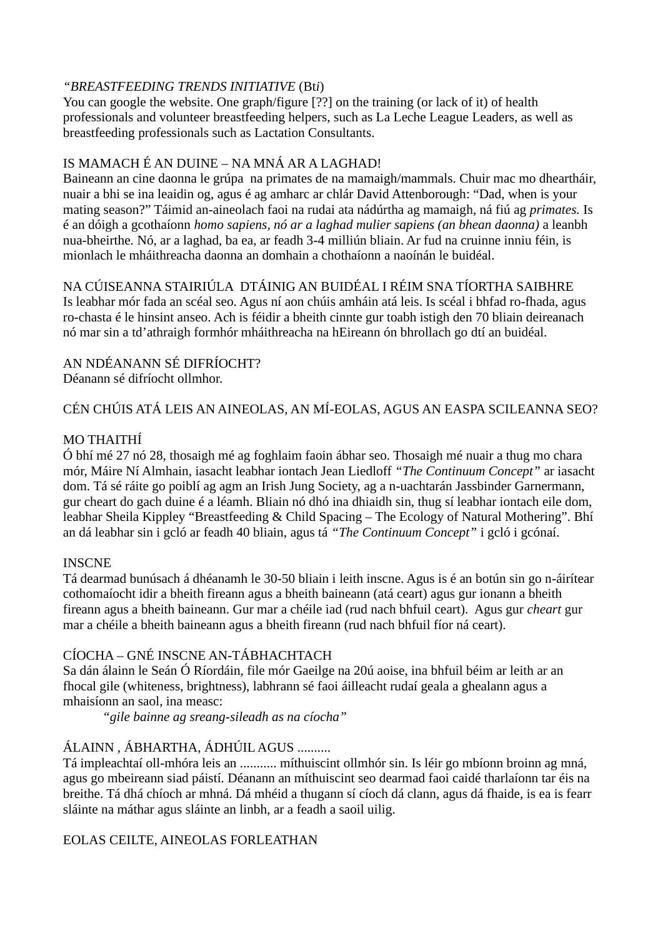#### *"BREASTFEEDING TRENDS INITIATIVE* (Bt*i*)

You can google the website. One graph/figure [??] on the training (or lack of it) of health professionals and volunteer breastfeeding helpers, such as La Leche League Leaders, as well as breastfeeding professionals such as Lactation Consultants.

### IS MAMACH É AN DUINE – NA MNÁ AR A LAGHAD!

Baineann an cine daonna le grúpa na primates de na mamaigh/mammals. Chuir mac mo dheartháir, nuair a bhi se ina leaidin og, agus é ag amharc ar chlár David Attenborough: "Dad, when is your mating season?" Táimid an-aineolach faoi na rudai ata nádúrtha ag mamaigh, ná fiú ag *primates.* Is é an dóigh a gcothaíonn *homo sapiens, nó ar a laghad mulier sapiens (an bhean daonna)* a leanbh nua-bheirthe. Nó*,* ar a laghad, ba ea, ar feadh 3-4 milliún bliain. Ar fud na cruinne inniu féin, is mionlach le mháithreacha daonna an domhain a chothaíonn a naoínán le buidéal.

NA CÚISEANNA STAIRIÚLA DTÁINIG AN BUIDÉAL I RÉIM SNA TÍORTHA SAIBHRE Is leabhar mór fada an scéal seo. Agus ní aon chúis amháin atá leis. Is scéal i bhfad ro-fhada, agus ro-chasta é le hinsint anseo. Ach is féidir a bheith cinnte gur toabh istigh den 70 bliain deireanach nó mar sin a td'athraigh formhór mháithreacha na hEireann ón bhrollach go dtí an buidéal.

#### AN NDÉANANN SÉ DIFRÍOCHT? Déanann sé difríocht ollmhor.

## CÉN CHÚIS ATÁ LEIS AN AINEOLAS, AN MÍ-EOLAS, AGUS AN EASPA SCILEANNA SEO?

## MO THAITHÍ

Ó bhí mé 27 nó 28, thosaigh mé ag foghlaim faoin ábhar seo. Thosaigh mé nuair a thug mo chara mór, Máire Ní Almhain, iasacht leabhar iontach Jean Liedloff *"The Continuum Concept"* ar iasacht dom. Tá sé ráite go poiblí ag agm an Irish Jung Society, ag a n-uachtarán Jassbinder Garnermann, gur cheart do gach duine é a léamh. Bliain nó dhó ina dhiaidh sin, thug sí leabhar iontach eile dom, leabhar Sheila Kippley "Breastfeeding & Child Spacing – The Ecology of Natural Mothering". Bhí an dá leabhar sin i gcló ar feadh 40 bliain, agus tá *"The Continuum Concept"* i gcló i gcónaí.

#### **INSCNE**

Tá dearmad bunúsach á dhéanamh le 30-50 bliain i leith inscne. Agus is é an botún sin go n-áirítear cothomaíocht idir a bheith fireann agus a bheith baineann (atá ceart) agus gur ionann a bheith fireann agus a bheith baineann. Gur mar a chéile iad (rud nach bhfuil ceart). Agus gur *cheart* gur mar a chéile a bheith baineann agus a bheith fireann (rud nach bhfuil fíor ná ceart).

## CÍOCHA – GNÉ INSCNE AN-TÁBHACHTACH

Sa dán álainn le Seán Ó Ríordáin, file mór Gaeilge na 20ú aoise, ina bhfuil béim ar leith ar an fhocal gile (whiteness, brightness), labhrann sé faoi áilleacht rudaí geala a ghealann agus a mhaisíonn an saol, ina measc:

*"gile bainne ag sreang-sileadh as na cíocha"*

## ÁLAINN , ÁBHARTHA, ÁDHÚIL AGUS ..........

Tá impleachtaí oll-mhóra leis an ........... míthuiscint ollmhór sin. Is léir go mbíonn broinn ag mná, agus go mbeireann siad páistí. Déanann an míthuiscint seo dearmad faoi caidé tharlaíonn tar éis na breithe. Tá dhá chíoch ar mhná. Dá mhéid a thugann sí cíoch dá clann, agus dá fhaide, is ea is fearr sláinte na máthar agus sláinte an linbh, ar a feadh a saoil uilig.

#### EOLAS CEILTE, AINEOLAS FORLEATHAN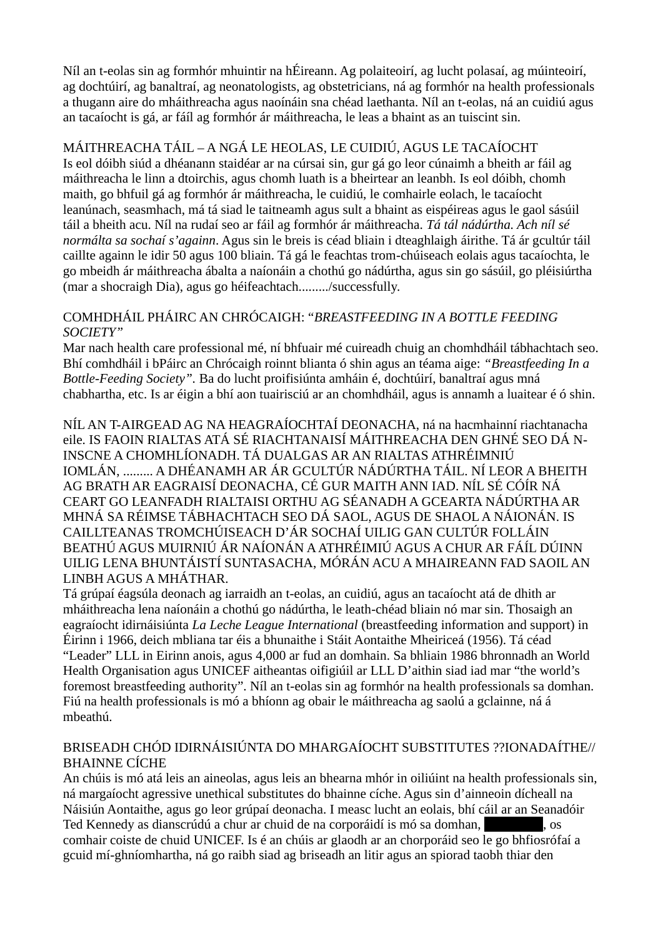Níl an t-eolas sin ag formhór mhuintir na hÉireann. Ag polaiteoirí, ag lucht polasaí, ag múinteoirí, ag dochtúirí, ag banaltraí, ag neonatologists, ag obstetricians, ná ag formhór na health professionals a thugann aire do mháithreacha agus naoínáin sna chéad laethanta. Níl an t-eolas, ná an cuidiú agus an tacaíocht is gá, ar fáíl ag formhór ár máithreacha, le leas a bhaint as an tuiscint sin.

## MÁITHREACHA TÁIL – A NGÁ LE HEOLAS, LE CUIDIÚ, AGUS LE TACAÍOCHT

Is eol dóibh siúd a dhéanann staidéar ar na cúrsai sin, gur gá go leor cúnaimh a bheith ar fáil ag máithreacha le linn a dtoirchis, agus chomh luath is a bheirtear an leanbh. Is eol dóibh, chomh maith, go bhfuil gá ag formhór ár máithreacha, le cuidiú, le comhairle eolach, le tacaíocht leanúnach, seasmhach, má tá siad le taitneamh agus sult a bhaint as eispéireas agus le gaol sásúil táil a bheith acu. Níl na rudaí seo ar fáil ag formhór ár máithreacha. *Tá tál nádúrtha. Ach níl sé normálta sa sochaí s'againn*. Agus sin le breis is céad bliain i dteaghlaigh áirithe. Tá ár gcultúr táil caillte againn le idir 50 agus 100 bliain. Tá gá le feachtas trom-chúiseach eolais agus tacaíochta, le go mbeidh ár máithreacha ábalta a naíonáin a chothú go nádúrtha, agus sin go sásúil, go pléisiúrtha (mar a shocraigh Dia), agus go héifeachtach........./successfully.

#### COMHDHÁIL PHÁIRC AN CHRÓCAIGH: "*BREASTFEEDING IN A BOTTLE FEEDING SOCIETY"*

Mar nach health care professional mé, ní bhfuair mé cuireadh chuig an chomhdháil tábhachtach seo. Bhí comhdháil i bPáirc an Chrócaigh roinnt blianta ó shin agus an téama aige: *"Breastfeeding In a Bottle-Feeding Society".* Ba do lucht proifisiúnta amháin é, dochtúirí, banaltraí agus mná chabhartha, etc. Is ar éigin a bhí aon tuairisciú ar an chomhdháil, agus is annamh a luaitear é ó shin.

NÍL AN T-AIRGEAD AG NA HEAGRAÍOCHTAÍ DEONACHA, ná na hacmhainní riachtanacha eile. IS FAOIN RIALTAS ATÁ SÉ RIACHTANAISÍ MÁITHREACHA DEN GHNÉ SEO DÁ N-INSCNE A CHOMHLÍONADH. TÁ DUALGAS AR AN RIALTAS ATHRÉIMNIÚ IOMLÁN, ......... A DHÉANAMH AR ÁR GCULTÚR NÁDÚRTHA TÁIL. NÍ LEOR A BHEITH AG BRATH AR EAGRAISÍ DEONACHA, CÉ GUR MAITH ANN IAD. NÍL SÉ CÓÍR NÁ CEART GO LEANFADH RIALTAISI ORTHU AG SÉANADH A GCEARTA NÁDÚRTHA AR MHNÁ SA RÉIMSE TÁBHACHTACH SEO DÁ SAOL, AGUS DE SHAOL A NÁIONÁN. IS CAILLTEANAS TROMCHÚISEACH D'ÁR SOCHAÍ UILIG GAN CULTÚR FOLLÁIN BEATHÚ AGUS MUIRNIÚ ÁR NAÍONÁN A ATHRÉIMIÚ AGUS A CHUR AR FÁÍL DÚINN UILIG LENA BHUNTÁISTÍ SUNTASACHA, MÓRÁN ACU A MHAIREANN FAD SAOIL AN LINBH AGUS A MHÁTHAR.

Tá grúpaí éagsúla deonach ag iarraidh an t-eolas, an cuidiú, agus an tacaíocht atá de dhith ar mháithreacha lena naíonáin a chothú go nádúrtha, le leath-chéad bliain nó mar sin. Thosaigh an eagraíocht idirnáisiúnta *La Leche League International* (breastfeeding information and support) in Éirinn i 1966, deich mbliana tar éis a bhunaithe i Stáit Aontaithe Mheiriceá (1956). Tá céad "Leader" LLL in Eirinn anois, agus 4,000 ar fud an domhain. Sa bhliain 1986 bhronnadh an World Health Organisation agus UNICEF aitheantas oifigiúil ar LLL D'aithin siad iad mar "the world's foremost breastfeeding authority". Níl an t-eolas sin ag formhór na health professionals sa domhan. Fiú na health professionals is mó a bhíonn ag obair le máithreacha ag saolú a gclainne, ná á mbeathú.

### BRISEADH CHÓD IDIRNÁISIÚNTA DO MHARGAÍOCHT SUBSTITUTES ??IONADAÍTHE// BHAINNE CÍCHE

An chúis is mó atá leis an aineolas, agus leis an bhearna mhór in oiliúint na health professionals sin, ná margaíocht agressive unethical substitutes do bhainne cíche. Agus sin d'ainneoin dícheall na Náisiún Aontaithe, agus go leor grúpaí deonacha. I measc lucht an eolais, bhí cáil ar an Seanadóir Ted Kennedy as dianscrúdú a chur ar chuid de na corporáidí is mó sa domhan, **como a contacted**, os comhair coiste de chuid UNICEF. Is é an chúis ar glaodh ar an chorporáid seo le go bhfiosrófaí a gcuid mí-ghníomhartha, ná go raibh siad ag briseadh an litir agus an spiorad taobh thiar den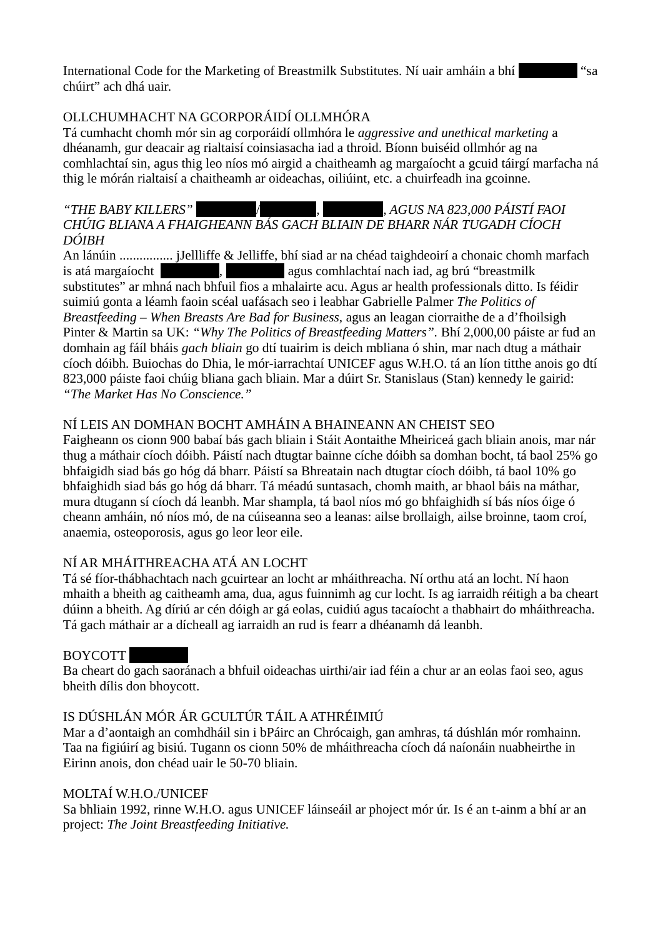International Code for the Marketing of Breastmilk Substitutes. Ní uair amháin a bhí **[Redacted]** "sa chúirt" ach dhá uair.

## OLLCHUMHACHT NA GCORPORÁIDÍ OLLMHÓRA

Tá cumhacht chomh mór sin ag corporáidí ollmhóra le *aggressive and unethical marketing* a dhéanamh, gur deacair ag rialtaisí coinsiasacha iad a throid. Bíonn buiséid ollmhór ag na comhlachtaí sin, agus thig leo níos mó airgid a chaitheamh ag margaíocht a gcuid táirgí marfacha ná thig le mórán rialtaisí a chaitheamh ar oideachas, oiliúint, etc. a chuirfeadh ina gcoinne.

#### *"THE BABY KILLERS" [Redacted]*/[REdacted*, [Redacted], AGUS NA 823,000 PÁISTÍ FAOI CHÚIG BLIANA A FHAIGHEANN BÁS GACH BLIAIN DE BHARR NÁR TUGADH CÍOCH DÓIBH*

An lánúin ................ jJellliffe & Jelliffe, bhí siad ar na chéad taighdeoirí a chonaic chomh marfach is atá margaíocht [Redacted], [Redactive agus comhlachtaí nach iad, ag brú "breastmilk substitutes" ar mhná nach bhfuil fios a mhalairte acu. Agus ar health professionals ditto. Is féidir suimiú gonta a léamh faoin scéal uafásach seo i leabhar Gabrielle Palmer *The Politics of Breastfeeding – When Breasts Are Bad for Business,* agus an leagan ciorraithe de a d'fhoilsigh Pinter & Martin sa UK: *"Why The Politics of Breastfeeding Matters".* Bhí 2,000,00 páiste ar fud an domhain ag fáíl bháis *gach bliain* go dtí tuairim is deich mbliana ó shin, mar nach dtug a máthair cíoch dóibh. Buiochas do Dhia, le mór-iarrachtaí UNICEF agus W.H.O. tá an líon titthe anois go dtí 823,000 páiste faoi chúig bliana gach bliain. Mar a dúirt Sr. Stanislaus (Stan) kennedy le gairid: *"The Market Has No Conscience."*

## NÍ LEIS AN DOMHAN BOCHT AMHÁIN A BHAINEANN AN CHEIST SEO

Faigheann os cionn 900 babaí bás gach bliain i Stáit Aontaithe Mheiriceá gach bliain anois, mar nár thug a máthair cíoch dóibh. Páistí nach dtugtar bainne cíche dóibh sa domhan bocht, tá baol 25% go bhfaigidh siad bás go hóg dá bharr. Páistí sa Bhreatain nach dtugtar cíoch dóibh, tá baol 10% go bhfaighidh siad bás go hóg dá bharr. Tá méadú suntasach, chomh maith, ar bhaol báis na máthar, mura dtugann sí cíoch dá leanbh. Mar shampla, tá baol níos mó go bhfaighidh sí bás níos óige ó cheann amháin, nó níos mó, de na cúiseanna seo a leanas: ailse brollaigh, ailse broinne, taom croí, anaemia, osteoporosis, agus go leor leor eile.

## NÍ AR MHÁITHREACHA ATÁ AN LOCHT

Tá sé fíor-thábhachtach nach gcuirtear an locht ar mháithreacha. Ní orthu atá an locht. Ní haon mhaith a bheith ag caitheamh ama, dua, agus fuinnimh ag cur locht. Is ag iarraidh réitigh a ba cheart dúinn a bheith. Ag díriú ar cén dóigh ar gá eolas, cuidiú agus tacaíocht a thabhairt do mháithreacha. Tá gach máthair ar a dícheall ag iarraidh an rud is fearr a dhéanamh dá leanbh.

## BOYCOTT

Ba cheart do gach saoránach a bhfuil oideachas uirthi/air iad féin a chur ar an eolas faoi seo, agus bheith dílis don bhoycott.

## IS DÚSHLÁN MÓR ÁR GCULTÚR TÁIL A ATHRÉIMIÚ

Mar a d'aontaigh an comhdháil sin i bPáirc an Chrócaigh, gan amhras, tá dúshlán mór romhainn. Taa na figiúirí ag bisiú. Tugann os cionn 50% de mháithreacha cíoch dá naíonáin nuabheirthe in Eirinn anois, don chéad uair le 50-70 bliain.

## MOLTAÍ W.H.O./UNICEF

Sa bhliain 1992, rinne W.H.O. agus UNICEF láinseáil ar phoject mór úr. Is é an t-ainm a bhí ar an project: *The Joint Breastfeeding Initiative.*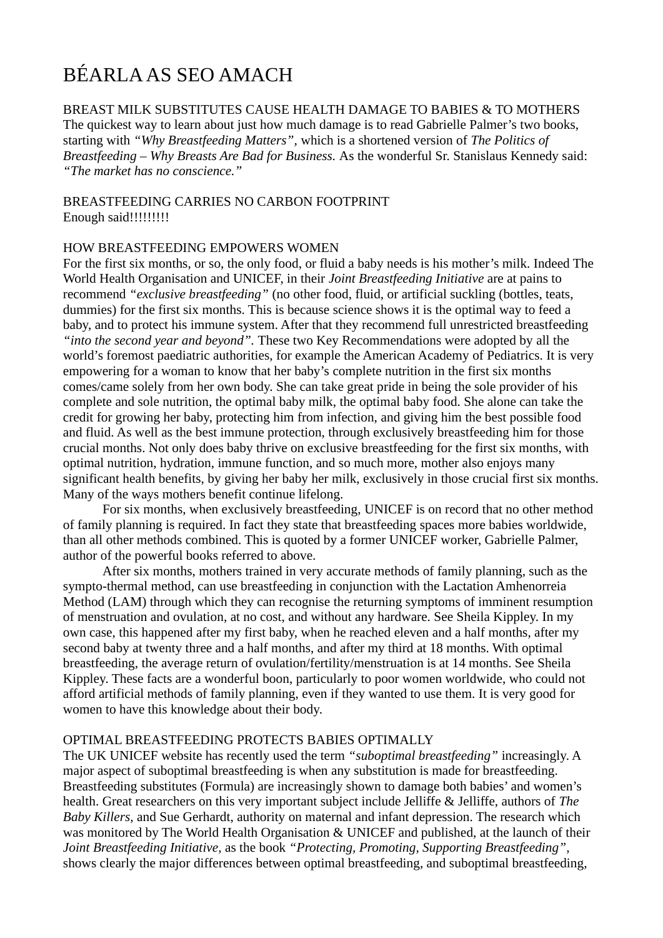# BÉARLA AS SEO AMACH

BREAST MILK SUBSTITUTES CAUSE HEALTH DAMAGE TO BABIES & TO MOTHERS The quickest way to learn about just how much damage is to read Gabrielle Palmer's two books, starting with *"Why Breastfeeding Matters",* which is a shortened version of *The Politics of Breastfeeding – Why Breasts Are Bad for Business.* As the wonderful Sr. Stanislaus Kennedy said: *"The market has no conscience."*

BREASTFEEDING CARRIES NO CARBON FOOTPRINT Enough said!!!!!!!!!

#### HOW BREASTFEEDING EMPOWERS WOMEN

For the first six months, or so, the only food, or fluid a baby needs is his mother's milk. Indeed The World Health Organisation and UNICEF, in their *Joint Breastfeeding Initiative* are at pains to recommend *"exclusive breastfeeding"* (no other food, fluid, or artificial suckling (bottles, teats, dummies) for the first six months. This is because science shows it is the optimal way to feed a baby, and to protect his immune system. After that they recommend full unrestricted breastfeeding *"into the second year and beyond".* These two Key Recommendations were adopted by all the world's foremost paediatric authorities, for example the American Academy of Pediatrics. It is very empowering for a woman to know that her baby's complete nutrition in the first six months comes/came solely from her own body. She can take great pride in being the sole provider of his complete and sole nutrition, the optimal baby milk, the optimal baby food. She alone can take the credit for growing her baby, protecting him from infection, and giving him the best possible food and fluid. As well as the best immune protection, through exclusively breastfeeding him for those crucial months. Not only does baby thrive on exclusive breastfeeding for the first six months, with optimal nutrition, hydration, immune function, and so much more, mother also enjoys many significant health benefits, by giving her baby her milk, exclusively in those crucial first six months. Many of the ways mothers benefit continue lifelong.

For six months, when exclusively breastfeeding, UNICEF is on record that no other method of family planning is required. In fact they state that breastfeeding spaces more babies worldwide, than all other methods combined. This is quoted by a former UNICEF worker, Gabrielle Palmer, author of the powerful books referred to above.

After six months, mothers trained in very accurate methods of family planning, such as the sympto-thermal method, can use breastfeeding in conjunction with the Lactation Amhenorreia Method (LAM) through which they can recognise the returning symptoms of imminent resumption of menstruation and ovulation, at no cost, and without any hardware. See Sheila Kippley. In my own case, this happened after my first baby, when he reached eleven and a half months, after my second baby at twenty three and a half months, and after my third at 18 months. With optimal breastfeeding, the average return of ovulation/fertility/menstruation is at 14 months. See Sheila Kippley. These facts are a wonderful boon, particularly to poor women worldwide, who could not afford artificial methods of family planning, even if they wanted to use them. It is very good for women to have this knowledge about their body.

#### OPTIMAL BREASTFEEDING PROTECTS BABIES OPTIMALLY

The UK UNICEF website has recently used the term *"suboptimal breastfeeding"* increasingly. A major aspect of suboptimal breastfeeding is when any substitution is made for breastfeeding. Breastfeeding substitutes (Formula) are increasingly shown to damage both babies' and women's health. Great researchers on this very important subject include Jelliffe & Jelliffe, authors of *The Baby Killers,* and Sue Gerhardt, authority on maternal and infant depression. The research which was monitored by The World Health Organisation & UNICEF and published, at the launch of their *Joint Breastfeeding Initiative,* as the book *"Protecting, Promoting, Supporting Breastfeeding",* shows clearly the major differences between optimal breastfeeding, and suboptimal breastfeeding,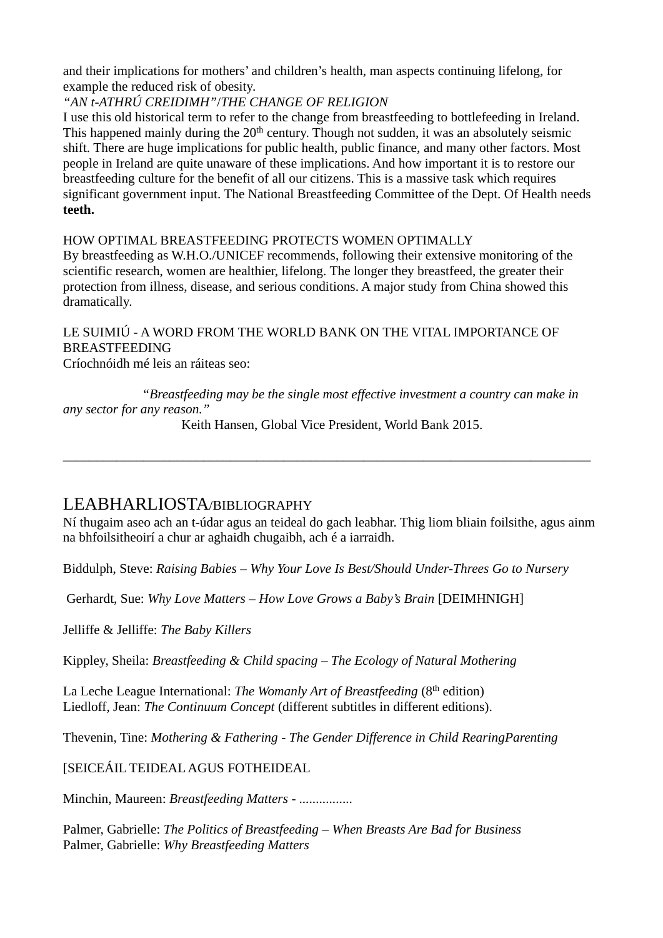and their implications for mothers' and children's health, man aspects continuing lifelong, for example the reduced risk of obesity.

## *"AN t-ATHRÚ CREIDIMH"*/*THE CHANGE OF RELIGION*

I use this old historical term to refer to the change from breastfeeding to bottlefeeding in Ireland. This happened mainly during the  $20<sup>th</sup>$  century. Though not sudden, it was an absolutely seismic shift. There are huge implications for public health, public finance, and many other factors. Most people in Ireland are quite unaware of these implications. And how important it is to restore our breastfeeding culture for the benefit of all our citizens. This is a massive task which requires significant government input. The National Breastfeeding Committee of the Dept. Of Health needs **teeth.**

HOW OPTIMAL BREASTFEEDING PROTECTS WOMEN OPTIMALLY By breastfeeding as W.H.O./UNICEF recommends, following their extensive monitoring of the scientific research, women are healthier, lifelong. The longer they breastfeed, the greater their protection from illness, disease, and serious conditions. A major study from China showed this

LE SUIMIÚ - A WORD FROM THE WORLD BANK ON THE VITAL IMPORTANCE OF BREASTFEEDING

Críochnóidh mé leis an ráiteas seo:

dramatically.

*"Breastfeeding may be the single most effective investment a country can make in any sector for any reason."*

Keith Hansen, Global Vice President, World Bank 2015.

\_\_\_\_\_\_\_\_\_\_\_\_\_\_\_\_\_\_\_\_\_\_\_\_\_\_\_\_\_\_\_\_\_\_\_\_\_\_\_\_\_\_\_\_\_\_\_\_\_\_\_\_\_\_\_\_\_\_\_\_\_\_\_\_\_\_\_\_\_\_\_\_\_\_\_\_\_\_\_

## LEABHARLIOSTA/BIBLIOGRAPHY

Ní thugaim aseo ach an t-údar agus an teideal do gach leabhar. Thig liom bliain foilsithe, agus ainm na bhfoilsitheoirí a chur ar aghaidh chugaibh, ach é a iarraidh.

Biddulph, Steve: *Raising Babies – Why Your Love Is Best/Should Under-Threes Go to Nursery*

Gerhardt, Sue: *Why Love Matters – How Love Grows a Baby's Brain* [DEIMHNIGH]

Jelliffe & Jelliffe: *The Baby Killers*

Kippley, Sheila: *Breastfeeding & Child spacing – The Ecology of Natural Mothering*

La Leche League International: *The Womanly Art of Breastfeeding* (8<sup>th</sup> edition) Liedloff, Jean: *The Continuum Concept* (different subtitles in different editions).

Thevenin, Tine: *Mothering & Fathering - The Gender Difference in Child RearingParenting*

[SEICEÁIL TEIDEAL AGUS FOTHEIDEAL

Minchin, Maureen: *Breastfeeding Matters - ................*

Palmer, Gabrielle: *The Politics of Breastfeeding – When Breasts Are Bad for Business* Palmer, Gabrielle: *Why Breastfeeding Matters*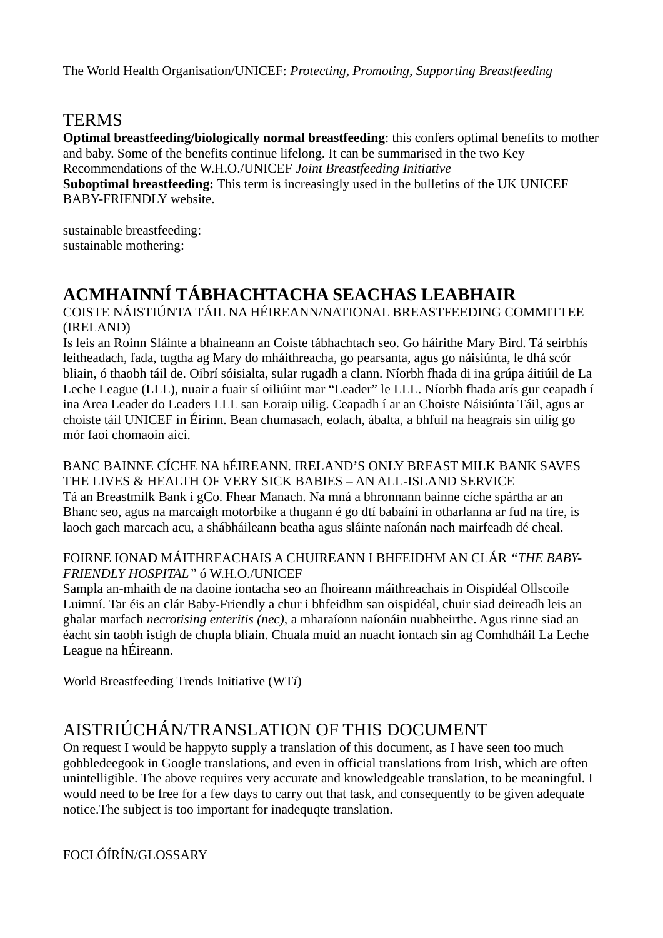The World Health Organisation/UNICEF: *Protecting, Promoting, Supporting Breastfeeding*

## TERMS

**Optimal breastfeeding/biologically normal breastfeeding**: this confers optimal benefits to mother and baby. Some of the benefits continue lifelong. It can be summarised in the two Key Recommendations of the W.H.O./UNICEF *Joint Breastfeeding Initiative* **Suboptimal breastfeeding:** This term is increasingly used in the bulletins of the UK UNICEF BABY-FRIENDLY website.

sustainable breastfeeding: sustainable mothering:

## **ACMHAINNÍ TÁBHACHTACHA SEACHAS LEABHAIR**

COISTE NÁISTIÚNTA TÁIL NA HÉIREANN/NATIONAL BREASTFEEDING COMMITTEE (IRELAND)

Is leis an Roinn Sláinte a bhaineann an Coiste tábhachtach seo. Go háirithe Mary Bird. Tá seirbhís leitheadach, fada, tugtha ag Mary do mháithreacha, go pearsanta, agus go náisiúnta, le dhá scór bliain, ó thaobh táil de. Oibrí sóisialta, sular rugadh a clann. Níorbh fhada di ina grúpa áitiúil de La Leche League (LLL), nuair a fuair sí oiliúint mar "Leader" le LLL. Níorbh fhada arís gur ceapadh í ina Area Leader do Leaders LLL san Eoraip uilig. Ceapadh í ar an Choiste Náisiúnta Táil, agus ar choiste táil UNICEF in Éirinn. Bean chumasach, eolach, ábalta, a bhfuil na heagrais sin uilig go mór faoi chomaoin aici.

BANC BAINNE CÍCHE NA hÉIREANN. IRELAND'S ONLY BREAST MILK BANK SAVES THE LIVES & HEALTH OF VERY SICK BABIES – AN ALL-ISLAND SERVICE Tá an Breastmilk Bank i gCo. Fhear Manach. Na mná a bhronnann bainne cíche spártha ar an Bhanc seo, agus na marcaigh motorbike a thugann é go dtí babaíní in otharlanna ar fud na tíre, is laoch gach marcach acu, a shábháileann beatha agus sláinte naíonán nach mairfeadh dé cheal.

### FOIRNE IONAD MÁITHREACHAIS A CHUIREANN I BHFEIDHM AN CLÁR *"THE BABY-FRIENDLY HOSPITAL"* ó W.H.O./UNICEF

Sampla an-mhaith de na daoine iontacha seo an fhoireann máithreachais in Oispidéal Ollscoile Luimní. Tar éis an clár Baby-Friendly a chur i bhfeidhm san oispidéal, chuir siad deireadh leis an ghalar marfach *necrotising enteritis (nec),* a mharaíonn naíonáin nuabheirthe. Agus rinne siad an éacht sin taobh istigh de chupla bliain. Chuala muid an nuacht iontach sin ag Comhdháil La Leche League na hÉireann.

World Breastfeeding Trends Initiative (WT*i*)

## AISTRIÚCHÁN/TRANSLATION OF THIS DOCUMENT

On request I would be happyto supply a translation of this document, as I have seen too much gobbledeegook in Google translations, and even in official translations from Irish, which are often unintelligible. The above requires very accurate and knowledgeable translation, to be meaningful. I would need to be free for a few days to carry out that task, and consequently to be given adequate notice.The subject is too important for inadequqte translation.

FOCLÓÍRÍN/GLOSSARY